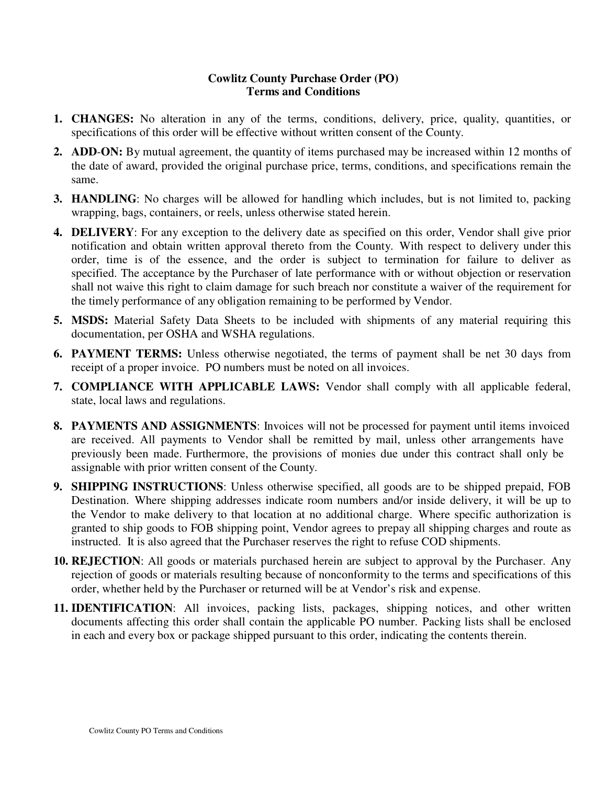## **Cowlitz County Purchase Order (PO) Terms and Conditions**

- **1. CHANGES:** No alteration in any of the terms, conditions, delivery, price, quality, quantities, or specifications of this order will be effective without written consent of the County.
- **2. ADD**-**ON:** By mutual agreement, the quantity of items purchased may be increased within 12 months of the date of award, provided the original purchase price, terms, conditions, and specifications remain the same.
- **3. HANDLING**: No charges will be allowed for handling which includes, but is not limited to, packing wrapping, bags, containers, or reels, unless otherwise stated herein.
- **4. DELIVERY**: For any exception to the delivery date as specified on this order, Vendor shall give prior notification and obtain written approval thereto from the County. With respect to delivery under this order, time is of the essence, and the order is subject to termination for failure to deliver as specified. The acceptance by the Purchaser of late performance with or without objection or reservation shall not waive this right to claim damage for such breach nor constitute a waiver of the requirement for the timely performance of any obligation remaining to be performed by Vendor.
- **5. MSDS:** Material Safety Data Sheets to be included with shipments of any material requiring this documentation, per OSHA and WSHA regulations.
- **6. PAYMENT TERMS:** Unless otherwise negotiated, the terms of payment shall be net 30 days from receipt of a proper invoice. PO numbers must be noted on all invoices.
- **7. COMPLIANCE WITH APPLICABLE LAWS:** Vendor shall comply with all applicable federal, state, local laws and regulations.
- **8. PAYMENTS AND ASSIGNMENTS**: Invoices will not be processed for payment until items invoiced are received. All payments to Vendor shall be remitted by mail, unless other arrangements have previously been made. Furthermore, the provisions of monies due under this contract shall only be assignable with prior written consent of the County.
- **9. SHIPPING INSTRUCTIONS**: Unless otherwise specified, all goods are to be shipped prepaid, FOB Destination. Where shipping addresses indicate room numbers and/or inside delivery, it will be up to the Vendor to make delivery to that location at no additional charge. Where specific authorization is granted to ship goods to FOB shipping point, Vendor agrees to prepay all shipping charges and route as instructed. It is also agreed that the Purchaser reserves the right to refuse COD shipments.
- **10. REJECTION**: All goods or materials purchased herein are subject to approval by the Purchaser. Any rejection of goods or materials resulting because of nonconformity to the terms and specifications of this order, whether held by the Purchaser or returned will be at Vendor's risk and expense.
- **11. IDENTIFICATION**: All invoices, packing lists, packages, shipping notices, and other written documents affecting this order shall contain the applicable PO number. Packing lists shall be enclosed in each and every box or package shipped pursuant to this order, indicating the contents therein.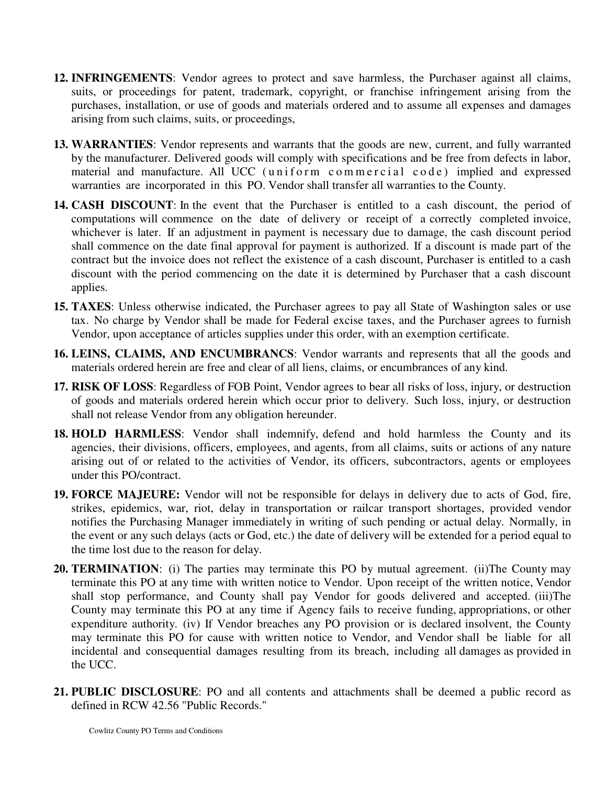- **12. INFRINGEMENTS**: Vendor agrees to protect and save harmless, the Purchaser against all claims, suits, or proceedings for patent, trademark, copyright, or franchise infringement arising from the purchases, installation, or use of goods and materials ordered and to assume all expenses and damages arising from such claims, suits, or proceedings,
- **13. WARRANTIES**: Vendor represents and warrants that the goods are new, current, and fully warranted by the manufacturer. Delivered goods will comply with specifications and be free from defects in labor, material and manufacture. All UCC (uniform commercial code) implied and expressed warranties are incorporated in this PO. Vendor shall transfer all warranties to the County.
- **14. CASH DISCOUNT**: In the event that the Purchaser is entitled to a cash discount, the period of computations will commence on the date of delivery or receipt of a correctly completed invoice, whichever is later. If an adjustment in payment is necessary due to damage, the cash discount period shall commence on the date final approval for payment is authorized. If a discount is made part of the contract but the invoice does not reflect the existence of a cash discount, Purchaser is entitled to a cash discount with the period commencing on the date it is determined by Purchaser that a cash discount applies.
- **15. TAXES**: Unless otherwise indicated, the Purchaser agrees to pay all State of Washington sales or use tax. No charge by Vendor shall be made for Federal excise taxes, and the Purchaser agrees to furnish Vendor, upon acceptance of articles supplies under this order, with an exemption certificate.
- **16. LEINS, CLAIMS, AND ENCUMBRANCS**: Vendor warrants and represents that all the goods and materials ordered herein are free and clear of all liens, claims, or encumbrances of any kind.
- **17. RISK OF LOSS**: Regardless of FOB Point, Vendor agrees to bear all risks of loss, injury, or destruction of goods and materials ordered herein which occur prior to delivery. Such loss, injury, or destruction shall not release Vendor from any obligation hereunder.
- **18. HOLD HARMLESS**: Vendor shall indemnify, defend and hold harmless the County and its agencies, their divisions, officers, employees, and agents, from all claims, suits or actions of any nature arising out of or related to the activities of Vendor, its officers, subcontractors, agents or employees under this PO/contract.
- **19. FORCE MAJEURE:** Vendor will not be responsible for delays in delivery due to acts of God, fire, strikes, epidemics, war, riot, delay in transportation or railcar transport shortages, provided vendor notifies the Purchasing Manager immediately in writing of such pending or actual delay. Normally, in the event or any such delays (acts or God, etc.) the date of delivery will be extended for a period equal to the time lost due to the reason for delay.
- **20. TERMINATION**: (i) The parties may terminate this PO by mutual agreement. (ii)The County may terminate this PO at any time with written notice to Vendor. Upon receipt of the written notice, Vendor shall stop performance, and County shall pay Vendor for goods delivered and accepted. (iii)The County may terminate this PO at any time if Agency fails to receive funding, appropriations, or other expenditure authority. (iv) If Vendor breaches any PO provision or is declared insolvent, the County may terminate this PO for cause with written notice to Vendor, and Vendor shall be liable for all incidental and consequential damages resulting from its breach, including all damages as provided in the UCC.
- **21. PUBLIC DISCLOSURE**: PO and all contents and attachments shall be deemed a public record as defined in RCW 42.56 "Public Records."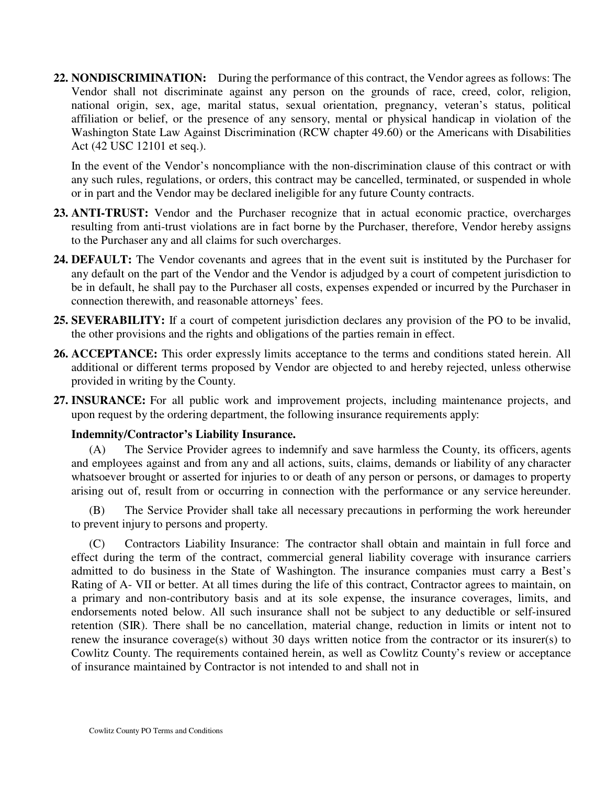**22. NONDISCRIMINATION:** During the performance of this contract, the Vendor agrees as follows: The Vendor shall not discriminate against any person on the grounds of race, creed, color, religion, national origin, sex, age, marital status, sexual orientation, pregnancy, veteran's status, political affiliation or belief, or the presence of any sensory, mental or physical handicap in violation of the Washington State Law Against Discrimination (RCW chapter 49.60) or the Americans with Disabilities Act (42 USC 12101 et seq.).

In the event of the Vendor's noncompliance with the non-discrimination clause of this contract or with any such rules, regulations, or orders, this contract may be cancelled, terminated, or suspended in whole or in part and the Vendor may be declared ineligible for any future County contracts.

- **23. ANTI-TRUST:** Vendor and the Purchaser recognize that in actual economic practice, overcharges resulting from anti-trust violations are in fact borne by the Purchaser, therefore, Vendor hereby assigns to the Purchaser any and all claims for such overcharges.
- **24. DEFAULT:** The Vendor covenants and agrees that in the event suit is instituted by the Purchaser for any default on the part of the Vendor and the Vendor is adjudged by a court of competent jurisdiction to be in default, he shall pay to the Purchaser all costs, expenses expended or incurred by the Purchaser in connection therewith, and reasonable attorneys' fees.
- **25. SEVERABILITY:** If a court of competent jurisdiction declares any provision of the PO to be invalid, the other provisions and the rights and obligations of the parties remain in effect.
- **26. ACCEPTANCE:** This order expressly limits acceptance to the terms and conditions stated herein. All additional or different terms proposed by Vendor are objected to and hereby rejected, unless otherwise provided in writing by the County.
- **27. INSURANCE:** For all public work and improvement projects, including maintenance projects, and upon request by the ordering department, the following insurance requirements apply:

## **Indemnity/Contractor's Liability Insurance.**

(A) The Service Provider agrees to indemnify and save harmless the County, its officers, agents and employees against and from any and all actions, suits, claims, demands or liability of any character whatsoever brought or asserted for injuries to or death of any person or persons, or damages to property arising out of, result from or occurring in connection with the performance or any service hereunder.

(B) The Service Provider shall take all necessary precautions in performing the work hereunder to prevent injury to persons and property.

(C) Contractors Liability Insurance: The contractor shall obtain and maintain in full force and effect during the term of the contract, commercial general liability coverage with insurance carriers admitted to do business in the State of Washington. The insurance companies must carry a Best's Rating of A- VII or better. At all times during the life of this contract, Contractor agrees to maintain, on a primary and non-contributory basis and at its sole expense, the insurance coverages, limits, and endorsements noted below. All such insurance shall not be subject to any deductible or self-insured retention (SIR). There shall be no cancellation, material change, reduction in limits or intent not to renew the insurance coverage(s) without 30 days written notice from the contractor or its insurer(s) to Cowlitz County. The requirements contained herein, as well as Cowlitz County's review or acceptance of insurance maintained by Contractor is not intended to and shall not in